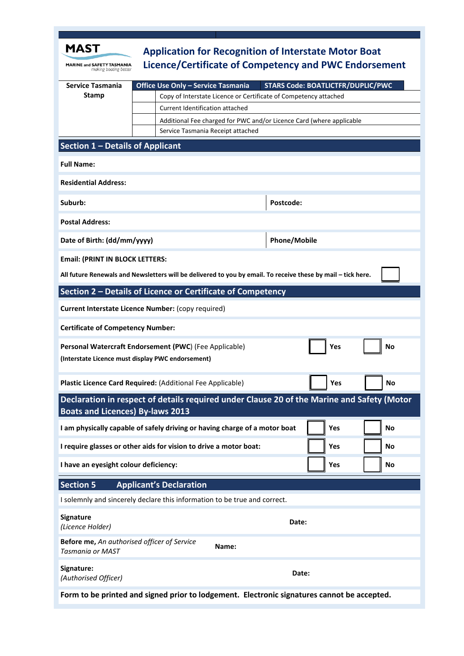| MAST                                                                                                                                  | <b>Application for Recognition of Interstate Motor Boat</b>                    |
|---------------------------------------------------------------------------------------------------------------------------------------|--------------------------------------------------------------------------------|
| MARINE and SAFETY TASMANIA<br>making boating better                                                                                   | Licence/Certificate of Competency and PWC Endorsement                          |
| <b>Service Tasmania</b>                                                                                                               | <b>STARS Code: BOATLICTFR/DUPLIC/PWC</b><br>Office Use Only - Service Tasmania |
| <b>Stamp</b>                                                                                                                          | Copy of Interstate Licence or Certificate of Competency attached               |
|                                                                                                                                       | Current Identification attached                                                |
|                                                                                                                                       | Additional Fee charged for PWC and/or Licence Card (where applicable           |
|                                                                                                                                       | Service Tasmania Receipt attached                                              |
| Section 1 - Details of Applicant                                                                                                      |                                                                                |
| <b>Full Name:</b>                                                                                                                     |                                                                                |
| <b>Residential Address:</b>                                                                                                           |                                                                                |
| Suburb:                                                                                                                               | Postcode:                                                                      |
| <b>Postal Address:</b>                                                                                                                |                                                                                |
| Date of Birth: (dd/mm/yyyy)                                                                                                           | <b>Phone/Mobile</b>                                                            |
| <b>Email: (PRINT IN BLOCK LETTERS:</b>                                                                                                |                                                                                |
| All future Renewals and Newsletters will be delivered to you by email. To receive these by mail - tick here.                          |                                                                                |
| Section 2 - Details of Licence or Certificate of Competency                                                                           |                                                                                |
| Current Interstate Licence Number: (copy required)                                                                                    |                                                                                |
| <b>Certificate of Competency Number:</b>                                                                                              |                                                                                |
| Personal Watercraft Endorsement (PWC) (Fee Applicable)<br>Yes<br>No<br>(Interstate Licence must display PWC endorsement)              |                                                                                |
|                                                                                                                                       | Plastic Licence Card Required: (Additional Fee Applicable)<br>Yes<br><b>NO</b> |
| Declaration in respect of details required under Clause 20 of the Marine and Safety (Motor<br><b>Boats and Licences) By-laws 2013</b> |                                                                                |
| I am physically capable of safely driving or having charge of a motor boat<br>Yes<br><b>No</b>                                        |                                                                                |
| I require glasses or other aids for vision to drive a motor boat:<br><b>No</b><br>Yes                                                 |                                                                                |
| I have an eyesight colour deficiency:                                                                                                 | Yes<br>No                                                                      |
| <b>Section 5</b>                                                                                                                      | <b>Applicant's Declaration</b>                                                 |
| I solemnly and sincerely declare this information to be true and correct.                                                             |                                                                                |
| Signature<br>(Licence Holder)                                                                                                         | Date:                                                                          |
| Before me, An authorised officer of Service<br>Name:<br><b>Tasmania or MAST</b>                                                       |                                                                                |
| Signature:<br>(Authorised Officer)                                                                                                    | Date:                                                                          |
| Form to be printed and signed prior to lodgement. Electronic signatures cannot be accepted.                                           |                                                                                |